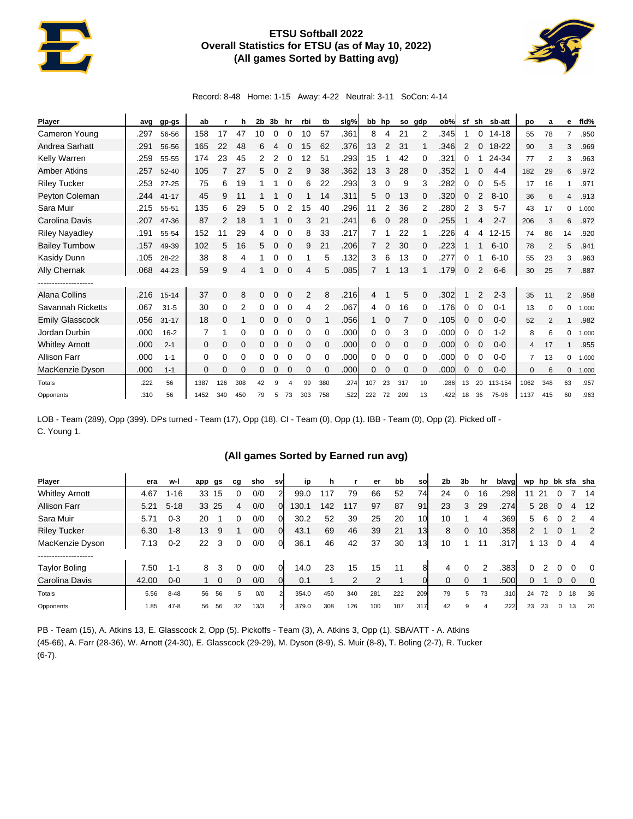## **ETSU Softball 2022 Overall Statistics for ETSU (as of May 10, 2022) (All games Sorted by Batting avg)**



Record: 8-48 Home: 1-15 Away: 4-22 Neutral: 3-11 SoCon: 4-14

| Player                 | avg  | gp-gs     | ab   |          | h   | 2b       | 3b          | hr        | rbi | tb       | slg% |              | bb hp |     | so gdp   | ob%  | sf |              | sh sb-att | po             | a              | е              | fld%  |
|------------------------|------|-----------|------|----------|-----|----------|-------------|-----------|-----|----------|------|--------------|-------|-----|----------|------|----|--------------|-----------|----------------|----------------|----------------|-------|
| Cameron Young          | .297 | 56-56     | 158  | 17       | 47  | 10       | 0           |           | 10  | 57       | .361 | 8            | 4     | 21  | 2        | .345 |    | 0            | $14 - 18$ | 55             | 78             | $\overline{7}$ | .950  |
| Andrea Sarhatt         | .291 | 56-56     | 165  | 22       | 48  | 6        | 4           |           | 15  | 62       | .376 | 13           | 2     | 31  |          | .346 | 2  | $\mathbf{0}$ | $18 - 22$ | 90             | 3              | 3              | .969  |
| Kelly Warren           | .259 | 55-55     | 174  | 23       | 45  | 2        | 2           | 0         | 12  | 51       | .293 | 15           |       | 42  | 0        | .321 | 0  |              | 24-34     | 77             | 2              | 3              | .963  |
| <b>Amber Atkins</b>    | .257 | $52 - 40$ | 105  | 7        | 27  | 5        | 0           | 2         | 9   | 38       | .362 | 13           | 3     | 28  | 0        | .352 |    | 0            | $4 - 4$   | 182            | 29             | 6              | .972  |
| <b>Riley Tucker</b>    | .253 | $27 - 25$ | 75   | 6        | 19  |          |             | 0         | 6   | 22       | .293 | 3            | 0     | 9   | 3        | .282 | 0  | 0            | $5 - 5$   | 17             | 16             | 1              | .971  |
| Peyton Coleman         | .244 | $41 - 17$ | 45   | 9        | 11  |          |             |           |     | 14       | .311 | 5            | 0     | 13  | 0        | .320 | 0  | 2            | $8 - 10$  | 36             | 6              | 4              | .913  |
| Sara Muir              | .215 | 55-51     | 135  | 6        | 29  | 5        | 0           |           | 15  | 40       | .296 | 11           | 2     | 36  | 2        | .280 | 2  | 3            | $5 - 7$   | 43             | 17             | 0              | 1.000 |
| Carolina Davis         | .207 | 47-36     | 87   | 2        | 18  | 1        |             | 0         | 3   | 21       | .241 | 6            | 0     | 28  | 0        | .255 |    | 4            | $2 - 7$   | 206            | 3              | 6              | .972  |
| <b>Riley Nayadley</b>  | .191 | 55-54     | 152  | 11       | 29  | 4        | 0           | 0         | 8   | 33       | .217 |              |       | 22  |          | .226 | 4  | 4            | $12 - 15$ | 74             | 86             | 14             | .920  |
| <b>Bailey Turnbow</b>  | .157 | 49-39     | 102  | 5        | 16  | 5        | $\mathbf 0$ | $\Omega$  | 9   | 21       | .206 |              | 2     | 30  | $\Omega$ | .223 |    |              | $6 - 10$  | 78             | $\overline{2}$ | 5              | .941  |
| Kasidy Dunn            | .105 | 28-22     | 38   | 8        | 4   |          | 0           | $\Omega$  |     | 5        | .132 | 3            | 6     | 13  | 0        | .277 | 0  |              | $6 - 10$  | 55             | 23             | 3              | .963  |
| <b>Ally Chernak</b>    | .068 | 44-23     | 59   | 9        | 4   |          | 0           | $\Omega$  | 4   | 5        | .085 | 7            |       | 13  |          | .179 | 0  | 2            | $6-6$     | 30             | 25             | $\overline{7}$ | .887  |
| -----------------      |      |           |      |          |     |          |             |           |     |          |      |              |       |     |          |      |    |              |           |                |                |                |       |
| Alana Collins          | .216 | $15 - 14$ | 37   | $\Omega$ | 8   | $\Omega$ | O           | 0         | 2   | 8        | .216 | 4            |       | 5   | 0        | .302 |    | 2            | $2 - 3$   | 35             | 11             | 2              | .958  |
| Savannah Ricketts      | .067 | $31 - 5$  | 30   | 0        | 2   | 0        | 0           | 0         | 4   | 2        | .067 | 4            | 0     | 16  | 0        | .176 | 0  |              | $0 - 1$   | 13             | $\Omega$       | 0              | 1.000 |
| <b>Emily Glasscock</b> | .056 | $31 - 17$ | 18   | 0        |     | 0        | 0           | $\Omega$  | 0   |          | .056 | $\mathbf{1}$ | 0     |     | 0        | .105 | 0  | $\Omega$     | $0 - 0$   | 52             | 2              | 1              | .982  |
| Jordan Durbin          | .000 | $16 - 2$  | 7    | 1        | 0   | 0        | 0           | 0         | 0   | 0        | .000 | 0            | 0     | 3   | 0        | .000 | 0  | 0            | $1 - 2$   | 8              | 6              | $\Omega$       | 1.000 |
| <b>Whitley Arnott</b>  | .000 | $2 - 1$   | 0    | 0        | 0   | 0        | 0           | 0         | 0   | 0        | .000 | 0            | 0     | 0   | $\Omega$ | .000 | 0  |              | $0 - 0$   | 4              | 17             |                | .955  |
| <b>Allison Farr</b>    | .000 | $1 - 1$   | 0    | 0        | 0   | 0        | 0           | 0         | 0   | $\Omega$ | .000 | 0            | 0     | 0   | 0        | .000 | 0  | 0            | $0 - 0$   | $\overline{7}$ | 13             | 0              | 1.000 |
| MacKenzie Dyson        | .000 | $1 - 1$   | 0    | 0        | 0   | 0        | 0           | 0         | 0   | 0        | .000 | 0            | 0     | 0   | 0        | .000 | 0  | 0            | $0 - 0$   | $\mathbf 0$    | 6              | $\mathbf{0}$   | 1.000 |
| Totals                 | .222 | 56        | 1387 | 126      | 308 | 42       | 9           | $\lambda$ | 99  | 380      | .274 | 107          | 23    | 317 | 10       | .286 | 13 | 20           | 113-154   | 1062           | 348            | 63             | .957  |
| Opponents              | .310 | 56        | 1452 | 340      | 450 | 79       | 5           | 73        | 303 | 758      | .522 | 222          | 72    | 209 | 13       | .422 | 18 | 36           | 75-96     | 1137           | 415            | 60             | .963  |

LOB - Team (289), Opp (399). DPs turned - Team (17), Opp (18). CI - Team (0), Opp (1). IBB - Team (0), Opp (2). Picked off - C. Young 1.

## **(All games Sorted by Earned run avg)**

| <b>Player</b>                        | era   | w-l      | app | gs | cq | sho  | sv             | ip    |     |     | er  | bb  | so              | 2b | 3b | hr | b/avg | wp hp  |      |              |    | bk sfa sha |
|--------------------------------------|-------|----------|-----|----|----|------|----------------|-------|-----|-----|-----|-----|-----------------|----|----|----|-------|--------|------|--------------|----|------------|
| <b>Whitley Arnott</b>                | 4.67  | $1 - 16$ | 33  | 15 |    | 0/0  | 21             | 99.0  | 117 | 79  | 66  | 52  | 74              | 24 |    | 16 | .298  |        | 21   |              |    | 14         |
| <b>Allison Farr</b>                  | 5.21  | $5 - 18$ | 33  | 25 | 4  | 0/0  |                | 130.1 | 142 | 117 | 97  | 87  | 91              | 23 | 3  | 29 | .274  |        | 5 28 | $\mathbf{0}$ | 4  | 12         |
| Sara Muir                            | 5.71  | $0 - 3$  | 20  |    |    | 0/0  | 01             | 30.2  | 52  | 39  | 25  | 20  | 10 <sup>1</sup> | 10 |    | 4  | .369  | 5      | 6    |              |    | 4          |
| <b>Riley Tucker</b>                  | 6.30  | $1 - 8$  | 13  | 9  |    | 0/0  | 01             | 43.1  | 69  | 46  | 39  | 21  | 13              | 8  | 0  | 10 | .358  | $^{2}$ |      | 0            |    | -2         |
| MacKenzie Dyson                      | 7.13  | $0 - 2$  | 22  | 3  | 0  | 0/0  | 01             | 36.1  | 46  | 42  | 37  | 30  | 13              | 10 |    | 11 | .317  |        | 13   | 0            | 4  | 4          |
| -------------------<br>Taylor Boling | 7.50  | $1 - 1$  | 8   | 3  |    | 0/0  | 0              | 14.0  | 23  | 15  | 15  | 11  | 8               | 4  |    |    | .383  | 0      |      |              |    | - 0        |
| Carolina Davis                       | 42.00 | $0 - 0$  |     |    |    | 0/0  |                | 0.1   |     |     |     |     |                 |    |    |    | .500  | 0      |      |              |    | 0          |
| Totals                               | 5.56  | $8 - 48$ | 56  | 56 | 5  | 0/0  | $\overline{2}$ | 354.0 | 450 | 340 | 281 | 222 | 209             | 79 | 5  | 73 | .310  | 24     | 72   | $\mathbf{0}$ | 18 | 36         |
| Opponents                            | 1.85  | $47 - 8$ | 56  | 56 | 32 | 13/3 | $\overline{2}$ | 379.0 | 308 | 126 | 100 | 107 | 317             | 42 | 9  |    | .222  | 23     | 23   |              | 13 | 20         |

PB - Team (15), A. Atkins 13, E. Glasscock 2, Opp (5). Pickoffs - Team (3), A. Atkins 3, Opp (1). SBA/ATT - A. Atkins (45-66), A. Farr (28-36), W. Arnott (24-30), E. Glasscock (29-29), M. Dyson (8-9), S. Muir (8-8), T. Boling (2-7), R. Tucker (6-7).